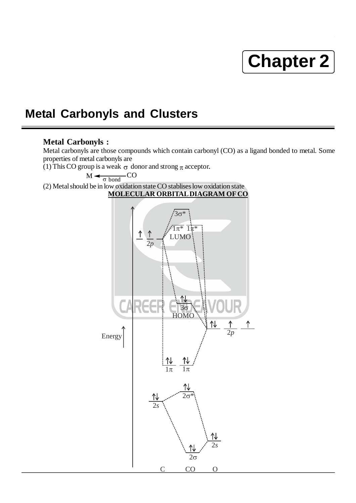# **Chapter 2**

# **Metal Carbonyls and Clusters**